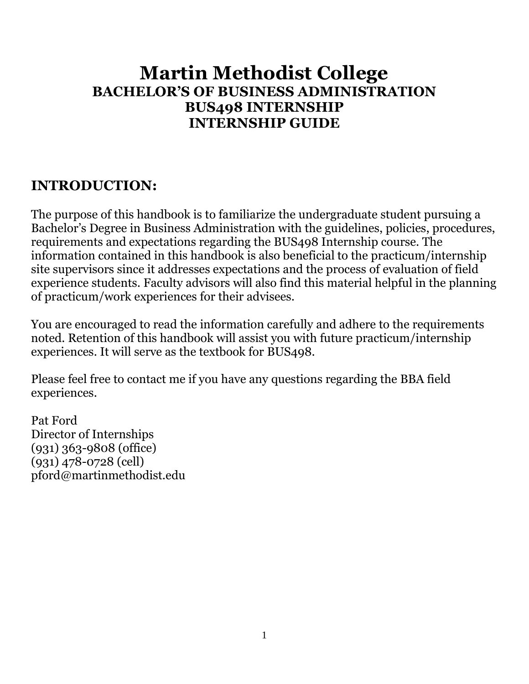# **Martin Methodist College BACHELOR'S OF BUSINESS ADMINISTRATION BUS498 INTERNSHIP INTERNSHIP GUIDE**

## **INTRODUCTION:**

The purpose of this handbook is to familiarize the undergraduate student pursuing a Bachelor's Degree in Business Administration with the guidelines, policies, procedures, requirements and expectations regarding the BUS498 Internship course. The information contained in this handbook is also beneficial to the practicum/internship site supervisors since it addresses expectations and the process of evaluation of field experience students. Faculty advisors will also find this material helpful in the planning of practicum/work experiences for their advisees.

You are encouraged to read the information carefully and adhere to the requirements noted. Retention of this handbook will assist you with future practicum/internship experiences. It will serve as the textbook for BUS498.

Please feel free to contact me if you have any questions regarding the BBA field experiences.

Pat Ford Director of Internships (931) 363-9808 (office) (931) 478-0728 (cell) pford@martinmethodist.edu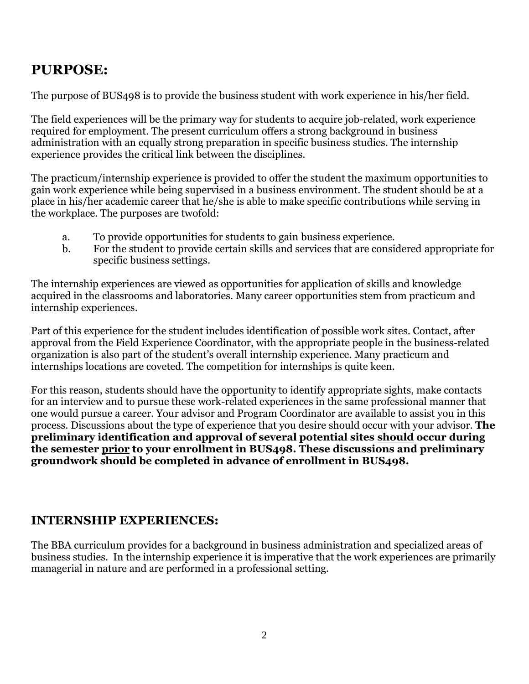## **PURPOSE:**

The purpose of BUS498 is to provide the business student with work experience in his/her field.

The field experiences will be the primary way for students to acquire job-related, work experience required for employment. The present curriculum offers a strong background in business administration with an equally strong preparation in specific business studies. The internship experience provides the critical link between the disciplines.

The practicum/internship experience is provided to offer the student the maximum opportunities to gain work experience while being supervised in a business environment. The student should be at a place in his/her academic career that he/she is able to make specific contributions while serving in the workplace. The purposes are twofold:

- a. To provide opportunities for students to gain business experience.
- b. For the student to provide certain skills and services that are considered appropriate for specific business settings.

The internship experiences are viewed as opportunities for application of skills and knowledge acquired in the classrooms and laboratories. Many career opportunities stem from practicum and internship experiences.

Part of this experience for the student includes identification of possible work sites. Contact, after approval from the Field Experience Coordinator, with the appropriate people in the business-related organization is also part of the student's overall internship experience. Many practicum and internships locations are coveted. The competition for internships is quite keen.

For this reason, students should have the opportunity to identify appropriate sights, make contacts for an interview and to pursue these work-related experiences in the same professional manner that one would pursue a career. Your advisor and Program Coordinator are available to assist you in this process. Discussions about the type of experience that you desire should occur with your advisor. **The preliminary identification and approval of several potential sites should occur during the semester prior to your enrollment in BUS498. These discussions and preliminary groundwork should be completed in advance of enrollment in BUS498.**

## **INTERNSHIP EXPERIENCES:**

The BBA curriculum provides for a background in business administration and specialized areas of business studies. In the internship experience it is imperative that the work experiences are primarily managerial in nature and are performed in a professional setting.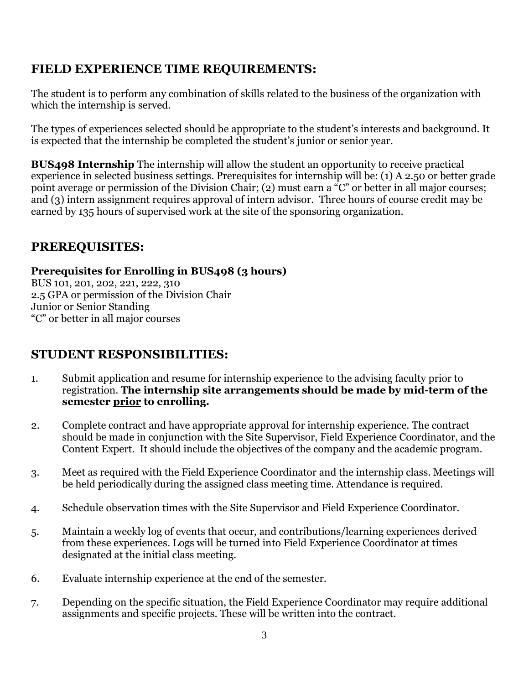## **FIELD EXPERIENCE TIME REQUIREMENTS:**

The student is to perform any combination of skills related to the business of the organization with which the internship is served.

The types of experiences selected should be appropriate to the student's interests and background. It is expected that the internship be completed the student's junior or senior year.

**BUS498 Internship** The internship will allow the student an opportunity to receive practical experience in selected business settings. Prerequisites for internship will be: (1) A 2.50 or better grade point average or permission of the Division Chair; (2) must earn a "C" or better in all major courses; and (3) intern assignment requires approval of intern advisor. Three hours of course credit may be earned by 135 hours of supervised work at the site of the sponsoring organization.

## **PREREQUISITES:**

#### **Prerequisites for Enrolling in BUS498 (3 hours)**

BUS 101, 201, 202, 221, 222, 310 2.5 GPA or permission of the Division Chair Junior or Senior Standing "C" or better in all major courses

## **STUDENT RESPONSIBILITIES:**

- 1. Submit application and resume for internship experience to the advising faculty prior to registration. **The internship site arrangements should be made by mid-term of the semester prior to enrolling.**
- 2. Complete contract and have appropriate approval for internship experience. The contract should be made in conjunction with the Site Supervisor, Field Experience Coordinator, and the Content Expert. It should include the objectives of the company and the academic program.
- 3. Meet as required with the Field Experience Coordinator and the internship class. Meetings will be held periodically during the assigned class meeting time. Attendance is required.
- 4. Schedule observation times with the Site Supervisor and Field Experience Coordinator.
- 5. Maintain a weekly log of events that occur, and contributions/learning experiences derived from these experiences. Logs will be turned into Field Experience Coordinator at times designated at the initial class meeting.
- 6. Evaluate internship experience at the end of the semester.
- 7. Depending on the specific situation, the Field Experience Coordinator may require additional assignments and specific projects. These will be written into the contract.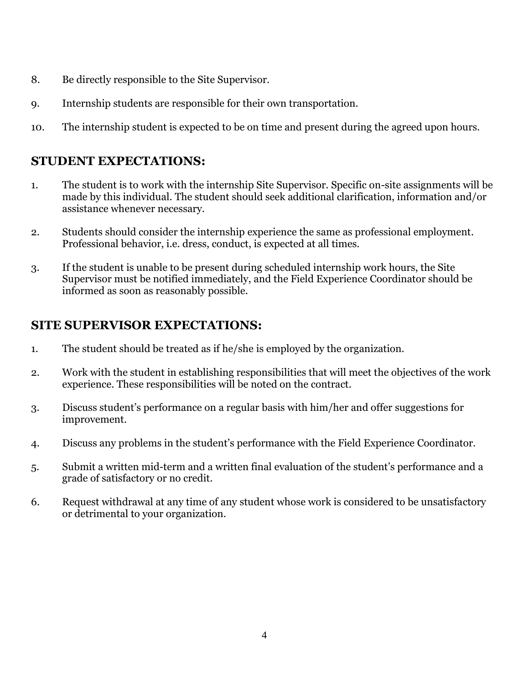- 8. Be directly responsible to the Site Supervisor.
- 9. Internship students are responsible for their own transportation.
- 10. The internship student is expected to be on time and present during the agreed upon hours.

### **STUDENT EXPECTATIONS:**

- 1. The student is to work with the internship Site Supervisor. Specific on-site assignments will be made by this individual. The student should seek additional clarification, information and/or assistance whenever necessary.
- 2. Students should consider the internship experience the same as professional employment. Professional behavior, i.e. dress, conduct, is expected at all times.
- 3. If the student is unable to be present during scheduled internship work hours, the Site Supervisor must be notified immediately, and the Field Experience Coordinator should be informed as soon as reasonably possible.

### **SITE SUPERVISOR EXPECTATIONS:**

- 1. The student should be treated as if he/she is employed by the organization.
- 2. Work with the student in establishing responsibilities that will meet the objectives of the work experience. These responsibilities will be noted on the contract.
- 3. Discuss student's performance on a regular basis with him/her and offer suggestions for improvement.
- 4. Discuss any problems in the student's performance with the Field Experience Coordinator.
- 5. Submit a written mid-term and a written final evaluation of the student's performance and a grade of satisfactory or no credit.
- 6. Request withdrawal at any time of any student whose work is considered to be unsatisfactory or detrimental to your organization.